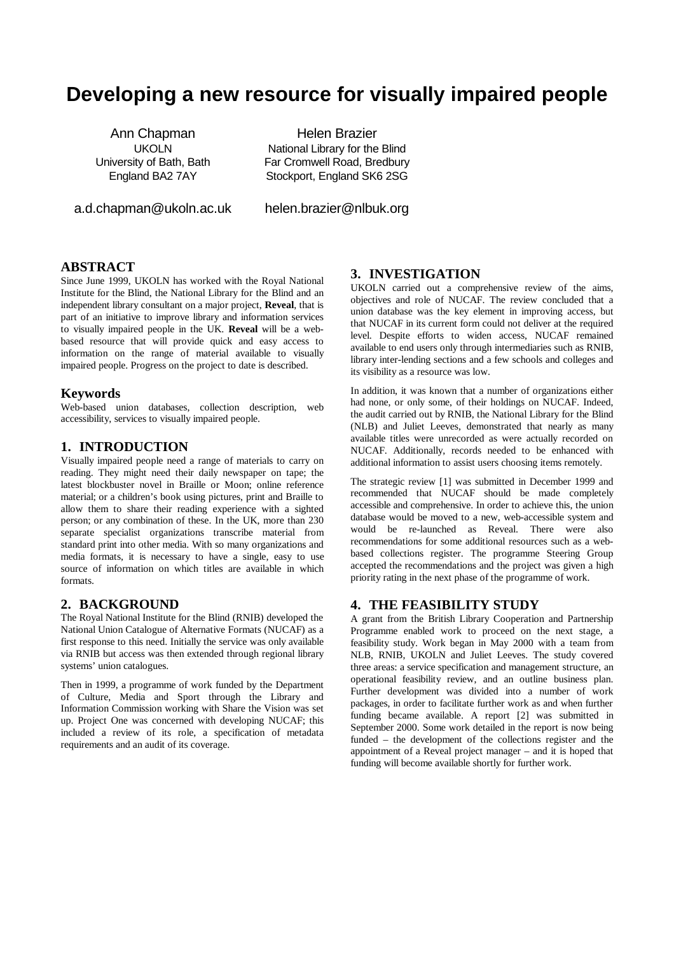# **Developing a new resource for visually impaired people**

Ann Chapman UKOLN University of Bath, Bath England BA2 7AY

a.d.chapman@ukoln.ac.uk

Helen Brazier National Library for the Blind Far Cromwell Road, Bredbury Stockport, England SK6 2SG

helen.brazier@nlbuk.org

## **ABSTRACT**

Since June 1999, UKOLN has worked with the Royal National Institute for the Blind, the National Library for the Blind and an independent library consultant on a major project, **Reveal**, that is part of an initiative to improve library and information services to visually impaired people in the UK. **Reveal** will be a webbased resource that will provide quick and easy access to information on the range of material available to visually impaired people. Progress on the project to date is described.

#### **Keywords**

Web-based union databases, collection description, web accessibility, services to visually impaired people.

#### **1. INTRODUCTION**

Visually impaired people need a range of materials to carry on reading. They might need their daily newspaper on tape; the latest blockbuster novel in Braille or Moon; online reference material; or a children's book using pictures, print and Braille to allow them to share their reading experience with a sighted person; or any combination of these. In the UK, more than 230 separate specialist organizations transcribe material from standard print into other media. With so many organizations and media formats, it is necessary to have a single, easy to use source of information on which titles are available in which formats.

## **2. BACKGROUND**

The Royal National Institute for the Blind (RNIB) developed the National Union Catalogue of Alternative Formats (NUCAF) as a first response to this need. Initially the service was only available via RNIB but access was then extended through regional library systems' union catalogues.

Then in 1999, a programme of work funded by the Department of Culture, Media and Sport through the Library and Information Commission working with Share the Vision was set up. Project One was concerned with developing NUCAF; this included a review of its role, a specification of metadata requirements and an audit of its coverage.

# **3. INVESTIGATION**

UKOLN carried out a comprehensive review of the aims, objectives and role of NUCAF. The review concluded that a union database was the key element in improving access, but that NUCAF in its current form could not deliver at the required level. Despite efforts to widen access, NUCAF remained available to end users only through intermediaries such as RNIB, library inter-lending sections and a few schools and colleges and its visibility as a resource was low.

In addition, it was known that a number of organizations either had none, or only some, of their holdings on NUCAF. Indeed, the audit carried out by RNIB, the National Library for the Blind (NLB) and Juliet Leeves, demonstrated that nearly as many available titles were unrecorded as were actually recorded on NUCAF. Additionally, records needed to be enhanced with additional information to assist users choosing items remotely.

The strategic review [1] was submitted in December 1999 and recommended that NUCAF should be made completely accessible and comprehensive. In order to achieve this, the union database would be moved to a new, web-accessible system and would be re-launched as Reveal. There were also recommendations for some additional resources such as a webbased collections register. The programme Steering Group accepted the recommendations and the project was given a high priority rating in the next phase of the programme of work.

#### **4. THE FEASIBILITY STUDY**

A grant from the British Library Cooperation and Partnership Programme enabled work to proceed on the next stage, a feasibility study. Work began in May 2000 with a team from NLB, RNIB, UKOLN and Juliet Leeves. The study covered three areas: a service specification and management structure, an operational feasibility review, and an outline business plan. Further development was divided into a number of work packages, in order to facilitate further work as and when further funding became available. A report [2] was submitted in September 2000. Some work detailed in the report is now being funded – the development of the collections register and the appointment of a Reveal project manager – and it is hoped that funding will become available shortly for further work.